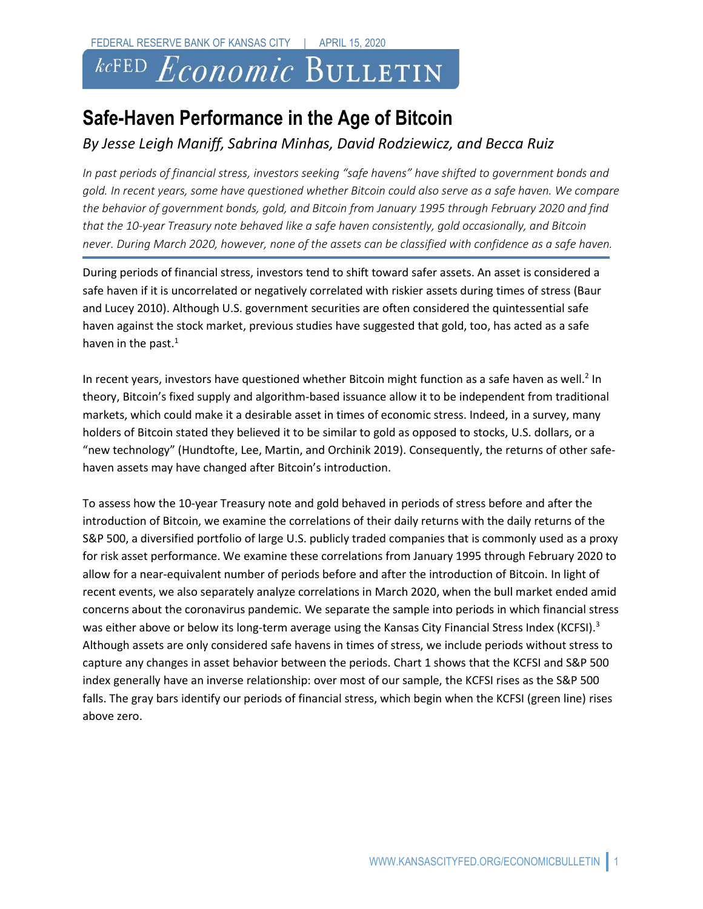# *kc*FED Economic BULLETIN

## **Safe-Haven Performance in the Age of Bitcoin**

### *By Jesse Leigh Maniff, Sabrina Minhas, David Rodziewicz, and Becca Ruiz*

*In past periods of financial stress, investors seeking "safe havens" have shifted to government bonds and gold. In recent years, some have questioned whether Bitcoin could also serve as a safe haven. We compare the behavior of government bonds, gold, and Bitcoin from January 1995 through February 2020 and find that the 10-year Treasury note behaved like a safe haven consistently, gold occasionally, and Bitcoin never. During March 2020, however, none of the assets can be classified with confidence as a safe haven.* 

During periods of financial stress, investors tend to shift toward safer assets. An asset is considered a safe haven if it is uncorrelated or negatively correlated with riskier assets during times of stress (Baur and Lucey 2010). Although U.S. government securities are often considered the quintessential safe haven against the stock market, previous studies have suggested that gold, too, has acted as a safe haven in the past.<sup>1</sup>

In recent years, investors have questioned whether Bitcoin might function as a safe haven as well.<sup>2</sup> In theory, Bitcoin's fixed supply and algorithm-based issuance allow it to be independent from traditional markets, which could make it a desirable asset in times of economic stress. Indeed, in a survey, many holders of Bitcoin stated they believed it to be similar to gold as opposed to stocks, U.S. dollars, or a "new technology" (Hundtofte, Lee, Martin, and Orchinik 2019). Consequently, the returns of other safehaven assets may have changed after Bitcoin's introduction.

To assess how the 10-year Treasury note and gold behaved in periods of stress before and after the introduction of Bitcoin, we examine the correlations of their daily returns with the daily returns of the S&P 500, a diversified portfolio of large U.S. publicly traded companies that is commonly used as a proxy for risk asset performance. We examine these correlations from January 1995 through February 2020 to allow for a near-equivalent number of periods before and after the introduction of Bitcoin. In light of recent events, we also separately analyze correlations in March 2020, when the bull market ended amid concerns about the coronavirus pandemic. We separate the sample into periods in which financial stress was either above or below its long-term average using the Kansas City Financial Stress Index (KCFSI).<sup>3</sup> Although assets are only considered safe havens in times of stress, we include periods without stress to capture any changes in asset behavior between the periods. Chart 1 shows that the KCFSI and S&P 500 index generally have an inverse relationship: over most of our sample, the KCFSI rises as the S&P 500 falls. The gray bars identify our periods of financial stress, which begin when the KCFSI (green line) rises above zero.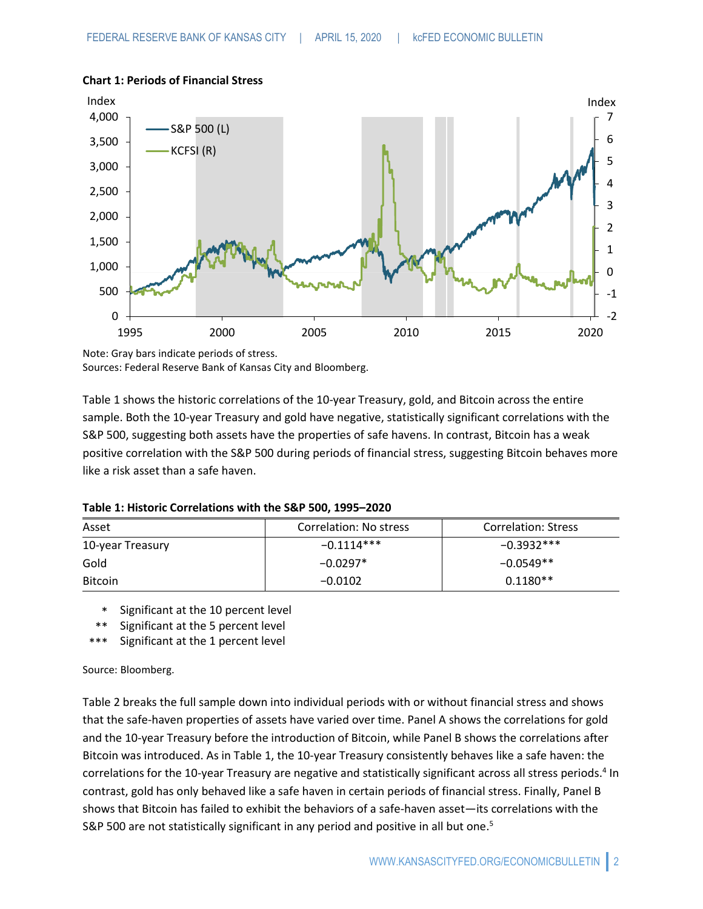

#### **Chart 1: Periods of Financial Stress**

Note: Gray bars indicate periods of stress. Sources: Federal Reserve Bank of Kansas City and Bloomberg.

Table 1 shows the historic correlations of the 10-year Treasury, gold, and Bitcoin across the entire sample. Both the 10-year Treasury and gold have negative, statistically significant correlations with the S&P 500, suggesting both assets have the properties of safe havens. In contrast, Bitcoin has a weak positive correlation with the S&P 500 during periods of financial stress, suggesting Bitcoin behaves more like a risk asset than a safe haven.

| Table 1: Historic Correlations with the S&P 500, 1995-2020 |  |  |
|------------------------------------------------------------|--|--|
|------------------------------------------------------------|--|--|

| Asset            | Correlation: No stress | <b>Correlation: Stress</b> |
|------------------|------------------------|----------------------------|
| 10-year Treasury | $-0.1114***$           | $-0.3932***$               |
| Gold             | $-0.0297*$             | $-0.0549**$                |
| <b>Bitcoin</b>   | $-0.0102$              | $0.1180**$                 |

\* Significant at the 10 percent level

\*\* Significant at the 5 percent level

\*\*\* Significant at the 1 percent level

Source: Bloomberg.

Table 2 breaks the full sample down into individual periods with or without financial stress and shows that the safe-haven properties of assets have varied over time. Panel A shows the correlations for gold and the 10-year Treasury before the introduction of Bitcoin, while Panel B shows the correlations after Bitcoin was introduced. As in Table 1, the 10-year Treasury consistently behaves like a safe haven: the correlations for the 10-year Treasury are negative and statistically significant across all stress periods.<sup>4</sup> In contrast, gold has only behaved like a safe haven in certain periods of financial stress. Finally, Panel B shows that Bitcoin has failed to exhibit the behaviors of a safe-haven asset—its correlations with the S&P 500 are not statistically significant in any period and positive in all but one.<sup>5</sup>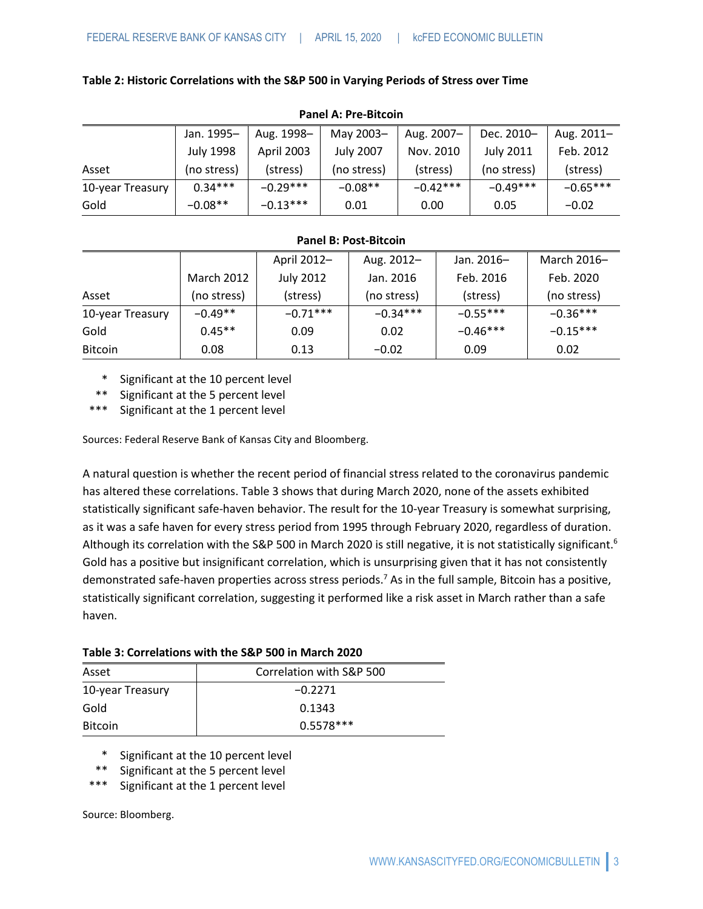**Table 2: Historic Correlations with the S&P 500 in Varying Periods of Stress over Time** 

| FAIICI A. FIC-DILLUIII |                  |            |                  |            |                  |            |
|------------------------|------------------|------------|------------------|------------|------------------|------------|
|                        | Jan. 1995-       | Aug. 1998- | May 2003-        | Aug. 2007- | Dec. 2010-       | Aug. 2011- |
|                        | <b>July 1998</b> | April 2003 | <b>July 2007</b> | Nov. 2010  | <b>July 2011</b> | Feb. 2012  |
| Asset                  | (no stress)      | (stress)   | (no stress)      | (stress)   | (no stress)      | (stress)   |
| 10-year Treasury       | $0.34***$        | $-0.29***$ | $-0.08**$        | $-0.42***$ | $-0.49***$       | $-0.65***$ |
| Gold                   | $-0.08**$        | $-0.13***$ | 0.01             | 0.00       | 0.05             | $-0.02$    |

#### **Panel A: Pre-Bitcoin**

#### **Panel B: Post-Bitcoin**

|                  |             | April 2012-      | Aug. 2012-  | Jan. 2016- | March 2016- |
|------------------|-------------|------------------|-------------|------------|-------------|
|                  | March 2012  | <b>July 2012</b> | Jan. 2016   | Feb. 2016  | Feb. 2020   |
| Asset            | (no stress) | (stress)         | (no stress) | (stress)   | (no stress) |
| 10-year Treasury | $-0.49**$   | $-0.71***$       | $-0.34***$  | $-0.55***$ | $-0.36***$  |
| Gold             | $0.45**$    | 0.09             | 0.02        | $-0.46***$ | $-0.15***$  |
| <b>Bitcoin</b>   | 0.08        | 0.13             | $-0.02$     | 0.09       | 0.02        |

\* Significant at the 10 percent level

\*\* Significant at the 5 percent level

\*\*\* Significant at the 1 percent level

Sources: Federal Reserve Bank of Kansas City and Bloomberg.

A natural question is whether the recent period of financial stress related to the coronavirus pandemic has altered these correlations. Table 3 shows that during March 2020, none of the assets exhibited statistically significant safe-haven behavior. The result for the 10-year Treasury is somewhat surprising, as it was a safe haven for every stress period from 1995 through February 2020, regardless of duration. Although its correlation with the S&P 500 in March 2020 is still negative, it is not statistically significant.<sup>6</sup> Gold has a positive but insignificant correlation, which is unsurprising given that it has not consistently demonstrated safe-haven properties across stress periods. <sup>7</sup> As in the full sample, Bitcoin has a positive, statistically significant correlation, suggesting it performed like a risk asset in March rather than a safe haven.

| Table 3: Correlations with the S&P 500 in March 2020 |  |  |  |  |
|------------------------------------------------------|--|--|--|--|
|------------------------------------------------------|--|--|--|--|

| Asset            | Correlation with S&P 500 |
|------------------|--------------------------|
| 10-year Treasury | $-0.2271$                |
| Gold             | 0.1343                   |
| <b>Bitcoin</b>   | $0.5578***$              |

- \* Significant at the 10 percent level
- \*\* Significant at the 5 percent level
- \*\*\* Significant at the 1 percent level

Source: Bloomberg.